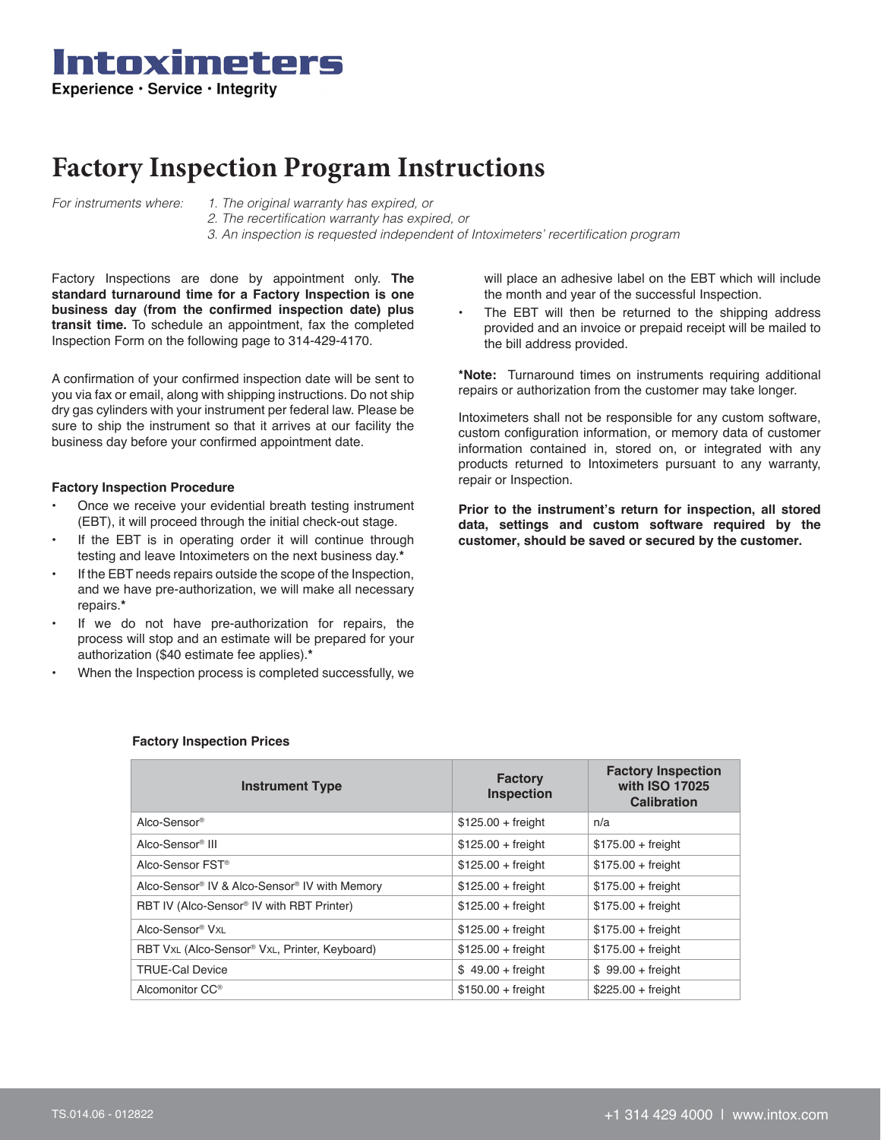

## **Factory Inspection Program Instructions**

- *For instruments where: 1. The original warranty has expired, or*
	- *2. The recertification warranty has expired, or 3. An inspection is requested independent of Intoximeters' recertification program*

Factory Inspections are done by appointment only. **The standard turnaround time for a Factory Inspection is one business day (from the confirmed inspection date) plus transit time.** To schedule an appointment, fax the completed Inspection Form on the following page to 314-429-4170.

A confirmation of your confirmed inspection date will be sent to you via fax or email, along with shipping instructions. Do not ship dry gas cylinders with your instrument per federal law. Please be sure to ship the instrument so that it arrives at our facility the business day before your confirmed appointment date.

## **Factory Inspection Procedure**

- Once we receive your evidential breath testing instrument (EBT), it will proceed through the initial check-out stage.
- If the EBT is in operating order it will continue through testing and leave Intoximeters on the next business day.**\***
- If the EBT needs repairs outside the scope of the Inspection. and we have pre-authorization, we will make all necessary repairs.**\***
- If we do not have pre-authorization for repairs, the process will stop and an estimate will be prepared for your authorization (\$40 estimate fee applies).**\***
- When the Inspection process is completed successfully, we

will place an adhesive label on the EBT which will include the month and year of the successful Inspection.

The EBT will then be returned to the shipping address provided and an invoice or prepaid receipt will be mailed to the bill address provided.

**\*Note:** Turnaround times on instruments requiring additional repairs or authorization from the customer may take longer.

Intoximeters shall not be responsible for any custom software, custom configuration information, or memory data of customer information contained in, stored on, or integrated with any products returned to Intoximeters pursuant to any warranty, repair or Inspection.

**Prior to the instrument's return for inspection, all stored data, settings and custom software required by the customer, should be saved or secured by the customer.**

| <b>Instrument Type</b>                                    | <b>Factory</b><br><b>Inspection</b> | <b>Factory Inspection</b><br>with ISO 17025<br><b>Calibration</b> |
|-----------------------------------------------------------|-------------------------------------|-------------------------------------------------------------------|
| Alco-Sensor®                                              | $$125.00 + freight$                 | n/a                                                               |
| Alco-Sensor <sup>®</sup> III                              | $$125.00 + freight$                 | $$175.00 + freight$                                               |
| Alco-Sensor FST <sup>®</sup>                              | $$125.00 + freight$                 | $$175.00 + freight$                                               |
| Alco-Sensor® IV & Alco-Sensor® IV with Memory             | $$125.00 + freight$                 | $$175.00 + freight$                                               |
| RBT IV (Alco-Sensor <sup>®</sup> IV with RBT Printer)     | $$125.00 + freight$                 | $$175.00 + freight$                                               |
| Alco-Sensor® VxL                                          | $$125.00 + freight$                 | $$175.00 + freight$                                               |
| RBT VxL (Alco-Sensor <sup>®</sup> VxL, Printer, Keyboard) | $$125.00 + freight$                 | $$175.00 + freight$                                               |
| <b>TRUE-Cal Device</b>                                    | $$49.00 + freight$                  | $$99.00 + freight$                                                |
| Alcomonitor CC <sup>®</sup>                               | $$150.00 + freight$                 | $$225.00 + freight$                                               |

## **Factory Inspection Prices**